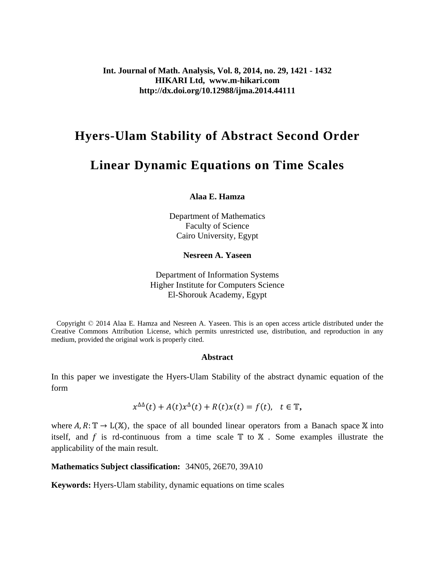**Int. Journal of Math. Analysis, Vol. 8, 2014, no. 29, 1421 - 1432 HIKARI Ltd, www.m-hikari.com http://dx.doi.org/10.12988/ijma.2014.44111**

## **Hyers-Ulam Stability of Abstract Second Order**

# **Linear Dynamic Equations on Time Scales**

**Alaa E. Hamza**

Department of Mathematics Faculty of Science Cairo University, Egypt

**Nesreen A. Yaseen**

Department of Information Systems Higher Institute for Computers Science El-Shorouk Academy, Egypt

 Copyright © 2014 Alaa E. Hamza and Nesreen A. Yaseen. This is an open access article distributed under the Creative Commons Attribution License, which permits unrestricted use, distribution, and reproduction in any medium, provided the original work is properly cited.

#### **Abstract**

In this paper we investigate the Hyers-Ulam Stability of the abstract dynamic equation of the form

$$
x^{\Delta\Delta}(t) + A(t)x^{\Delta}(t) + R(t)x(t) = f(t), \quad t \in \mathbb{T},
$$

where  $A, R: \mathbb{T} \to L(\mathbb{X})$ , the space of all bounded linear operators from a Banach space X into itself, and  $f$  is rd-continuous from a time scale  $T$  to  $X$ . Some examples illustrate the applicability of the main result.

**Mathematics Subject classification:** 34N05, 26E70, 39A10

**Keywords:** Hyers-Ulam stability, dynamic equations on time scales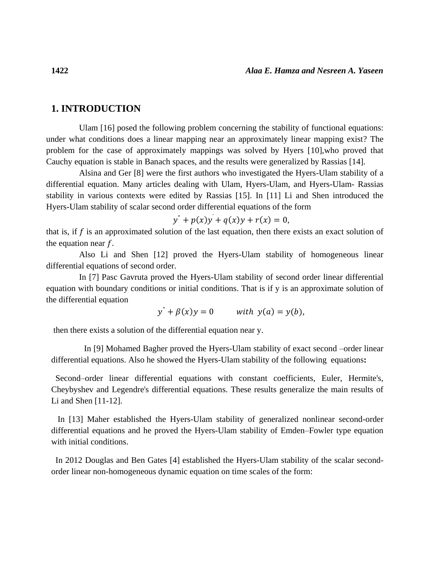### **1. INTRODUCTION**

Ulam [16] posed the following problem concerning the stability of functional equations: under what conditions does a linear mapping near an approximately linear mapping exist? The problem for the case of approximately mappings was solved by Hyers [10],who proved that Cauchy equation is stable in Banach spaces, and the results were generalized by Rassias [14].

Alsina and Ger [8] were the first authors who investigated the Hyers-Ulam stability of a differential equation. Many articles dealing with Ulam, Hyers-Ulam, and Hyers-Ulam- Rassias stability in various contexts were edited by Rassias [15]. In [11] Li and Shen introduced the Hyers-Ulam stability of scalar second order differential equations of the form

 $y'' + p(x)y' + q(x)y + r(x) = 0,$ 

that is, if  $f$  is an approximated solution of the last equation, then there exists an exact solution of the equation near  $f$ .

Also Li and Shen [12] proved the Hyers-Ulam stability of homogeneous linear differential equations of second order.

In [7] Pasc Gavruta proved the Hyers-Ulam stability of second order linear differential equation with boundary conditions or initial conditions. That is if y is an approximate solution of the differential equation

$$
y'' + \beta(x)y = 0 \qquad \text{with } y(a) = y(b),
$$

then there exists a solution of the differential equation near y.

In [9] Mohamed Bagher proved the Hyers-Ulam stability of exact second –order linear differential equations. Also he showed the Hyers-Ulam stability of the following equations**:**

 Second–order linear differential equations with constant coefficients, Euler, Hermite's, Cheybyshev and Legendre's differential equations. These results generalize the main results of Li and Shen [11-12].

 In [13] Maher established the Hyers-Ulam stability of generalized nonlinear second-order differential equations and he proved the Hyers-Ulam stability of Emden–Fowler type equation with initial conditions.

 In 2012 Douglas and Ben Gates [4] established the Hyers-Ulam stability of the scalar secondorder linear non-homogeneous dynamic equation on time scales of the form: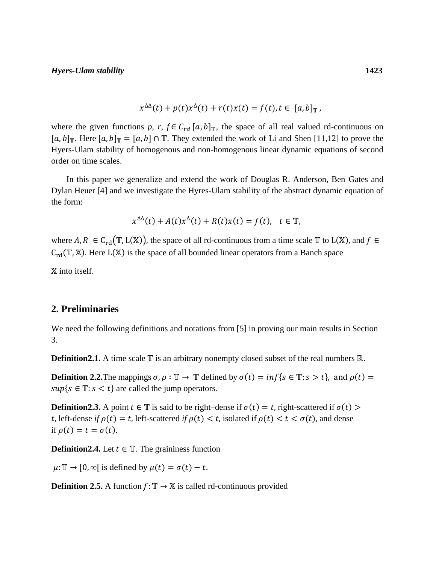$$
x^{\Delta\Delta}(t) + p(t)x^{\Delta}(t) + r(t)x(t) = f(t), t \in [a, b]_{\mathbb{T}},
$$

where the given functions p, r,  $f \in C_{rd}$  [a, b]<sub>T</sub>, the space of all real valued rd-continuous on  $[a, b]_{\mathbb{T}}$ . Here  $[a, b]_{\mathbb{T}} = [a, b] \cap \mathbb{T}$ . They extended the work of Li and Shen [11,12] to prove the Hyers-Ulam stability of homogenous and non-homogenous linear dynamic equations of second order on time scales.

In this paper we generalize and extend the work of Douglas R. Anderson, Ben Gates and Dylan Heuer [4] and we investigate the Hyres-Ulam stability of the abstract dynamic equation of the form:

$$
x^{\Delta\Delta}(t) + A(t)x^{\Delta}(t) + R(t)x(t) = f(t), \quad t \in \mathbb{T},
$$

where A,  $R \in C_{rd}(\mathbb{T}, L(\mathbb{X}))$ , the space of all rd-continuous from a time scale  $\mathbb{T}$  to  $L(\mathbb{X})$ , and  $f \in$  $C_{\rm rd}(\mathbb{T}, \mathbb{X})$ . Here L(X) is the space of all bounded linear operators from a Banch space

 $X$  into itself.

## **2. Preliminaries**

We need the following definitions and notations from [5] in proving our main results in Section 3.

**Definition2.1.** A time scale  $\mathbb T$  is an arbitrary nonempty closed subset of the real numbers ℝ.

**Definition 2.2.** The mappings  $\sigma$ ,  $\rho : \mathbb{T} \to \mathbb{T}$  defined by  $\sigma(t) = inf\{s \in \mathbb{T} : s > t\}$ , and  $\rho(t) =$  $sup{s \in \mathbb{T}: s < t}$  are called the jump operators.

**Definition2.3.** A point  $t \in \mathbb{T}$  is said to be right–dense if  $\sigma(t) = t$ , right-scattered if  $\sigma(t)$ t, left-dense *if*  $\rho(t) = t$ , left-scattered *if*  $\rho(t) < t$ , isolated if  $\rho(t) < t < \sigma(t)$ , and dense if  $\rho(t) = t = \sigma(t)$ .

**Definition2.4.** Let  $t \in \mathbb{T}$ . The graininess function

 $\mu: \mathbb{T} \to [0, \infty)$  is defined by  $\mu(t) = \sigma(t) - t$ .

**Definition 2.5.** A function  $f: \mathbb{T} \to \mathbb{X}$  is called rd-continuous provided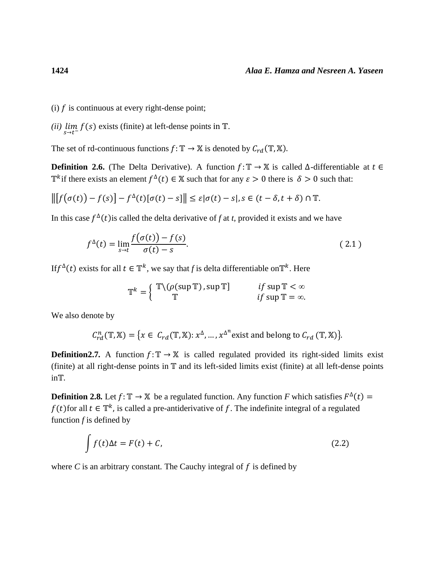(i)  $f$  is continuous at every right-dense point;

(*ii*)  $\lim_{s \to t^{-}} f(s)$  exists (finite) at left-dense points in *T*.

The set of rd-continuous functions  $f: \mathbb{T} \to \mathbb{X}$  is denoted by  $C_{rd}(\mathbb{T}, \mathbb{X})$ .

**Definition 2.6.** (The Delta Derivative). A function  $f: \mathbb{T} \to \mathbb{X}$  is called  $\Delta$ -differentiable at  $t \in$  $\mathbb{T}^k$  if there exists an element  $f^{\Delta}(t) \in \mathbb{X}$  such that for any  $\varepsilon > 0$  there is  $\delta > 0$  such that:

$$
\left\| \left[ f(\sigma(t)) - f(s) \right] - f^{\Delta}(t) [\sigma(t) - s] \right\| \leq \varepsilon |\sigma(t) - s|, s \in (t - \delta, t + \delta) \cap \mathbb{T}.
$$

In this case  $f^{\Delta}(t)$  is called the delta derivative of f at t, provided it exists and we have

$$
f^{\Delta}(t) = \lim_{s \to t} \frac{f(\sigma(t)) - f(s)}{\sigma(t) - s}.
$$
 (2.1)

If  $f^{\Delta}(t)$  exists for all  $t \in \mathbb{T}^k$ , we say that f is delta differentiable on  $\mathbb{T}^k$ . Here

$$
\mathbb{T}^k = \left\{ \begin{array}{ll} \mathbb{T} \setminus (\rho(\sup \mathbb{T}), \sup \mathbb{T}] & \text{if } \sup \mathbb{T} < \infty \\ \mathbb{T} & \text{if } \sup \mathbb{T} = \infty. \end{array} \right.
$$

We also denote by

$$
C_{rd}^{n}(\mathbb{T}, \mathbb{X}) = \{x \in C_{rd}(\mathbb{T}, \mathbb{X}) : x^{\Delta}, \dots, x^{\Delta^{n}} \text{ exist and belong to } C_{rd}(\mathbb{T}, \mathbb{X})\}.
$$

**Definition2.7.** A function  $f: \mathbb{T} \to \mathbb{X}$  is called regulated provided its right-sided limits exist (finite) at all right-dense points in  $\mathbb T$  and its left-sided limits exist (finite) at all left-dense points  $in$  $T<sub>1</sub>$ .

**Definition 2.8.** Let  $f: \mathbb{T} \to \mathbb{X}$  be a regulated function. Any function *F* which satisfies  $F^{\Delta}(t) =$  $f(t)$  for all  $t \in \mathbb{T}^k$ , is called a pre-antiderivative of f. The indefinite integral of a regulated function *f* is defined by

$$
\int f(t)\Delta t = F(t) + C,\tag{2.2}
$$

where  $C$  is an arbitrary constant. The Cauchy integral of  $f$  is defined by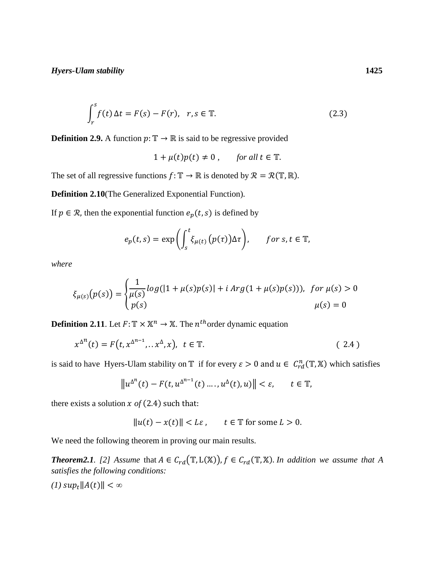$$
\int_{r}^{s} f(t) \Delta t = F(s) - F(r), \quad r, s \in \mathbb{T}.
$$
 (2.3)

**Definition 2.9.** A function  $p: \mathbb{T} \to \mathbb{R}$  is said to be regressive provided

$$
1 + \mu(t)p(t) \neq 0
$$
, for all  $t \in \mathbb{T}$ .

The set of all regressive functions  $f: \mathbb{T} \to \mathbb{R}$  is denoted by  $\mathcal{R} = \mathcal{R}(\mathbb{T}, \mathbb{R})$ .

**Definition 2.10**(The Generalized Exponential Function)*.*

If  $p \in \mathcal{R}$ , then the exponential function  $e_p(t, s)$  is defined by

$$
e_p(t,s) = \exp\left(\int_s^t \xi_{\mu(t)}(p(\tau))\Delta\tau\right), \quad \text{for } s, t \in \mathbb{T},
$$

*where*

$$
\xi_{\mu(s)}(p(s)) = \begin{cases} \frac{1}{\mu(s)}log(|1 + \mu(s)p(s)| + i Arg(1 + \mu(s)p(s))), & \text{for } \mu(s) > 0\\ p(s) & \mu(s) = 0 \end{cases}
$$

**Definition 2.11**. Let  $F: \mathbb{T} \times \mathbb{X}^n \to \mathbb{X}$ . The *n*<sup>th</sup>order dynamic equation

$$
x^{\Delta^n}(t) = F(t, x^{\Delta^{n-1}}, \ldots, x^{\Delta}, x), \quad t \in \mathbb{T}.
$$
 (2.4)

is said to have Hyers-Ulam stability on  $\mathbb T$  if for every  $\varepsilon > 0$  and  $u \in C_{rd}^n(\mathbb T, \mathbb X)$  which satisfies

$$
\|u^{\Delta^n}(t) - F(t, u^{\Delta^{n-1}}(t) \dots, u^{\Delta}(t), u)\| < \varepsilon, \qquad t \in \mathbb{T},
$$

there exists a solution  $x$  of (2.4) such that:

$$
||u(t) - x(t)|| < L\varepsilon \,, \qquad t \in \mathbb{T} \text{ for some } L > 0.
$$

We need the following theorem in proving our main results.

*Theorem2.1.* [2] Assume that  $A \in C_{rd}(\mathbb{T}, L(\mathbb{X}))$ ,  $f \in C_{rd}(\mathbb{T}, \mathbb{X})$ . In addition we assume that A *satisfies the following conditions:* 

 $(I)$  *sup<sub>t</sub>*∥ $A(t)$ ∥ < ∞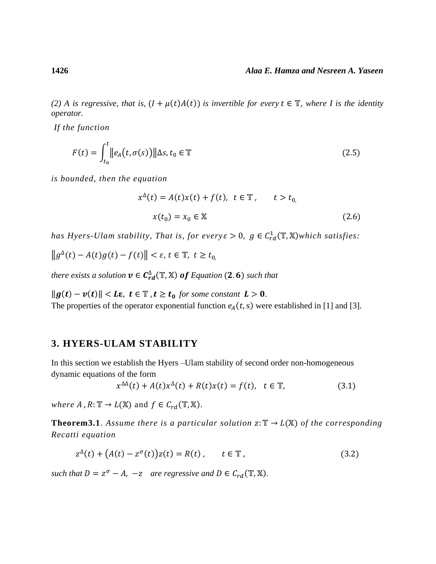*(2) A is regressive, that is,*  $(I + \mu(t)A(t))$  *is invertible for every*  $t \in \mathbb{T}$ *, where I is the identity operator.*

*If the function* 

$$
F(t) = \int_{t_0}^t \lVert e_A(t, \sigma(s)) \rVert \Delta s, t_0 \in \mathbb{T}
$$
\n(2.5)

*is bounded, then the equation*

$$
x^{\Delta}(t) = A(t)x(t) + f(t), \ t \in \mathbb{T}, \qquad t > t_0,
$$
  

$$
x(t_0) = x_0 \in \mathbb{X}
$$
 (2.6)

*has Hyers-Ulam stability, That is, for every*  $\varepsilon > 0$ ,  $g \in C_{rd}^1(\mathbb{T}, \mathbb{X})$ *which satisfies:* 

 $||g^{\Delta}(t) - A(t)g(t) - f(t)|| < \varepsilon, t \in \mathbb{T}, t \ge t_0$ 

there exists a solution  $v \in C_{rd}^{\Delta}(\mathbb{T}, \mathbb{X})$  **of** Equation (2.6) such that

 $||g(t) - v(t)||$  < **Lε**, **t** ∈  $T$ , **t** ≥ **t**<sub>0</sub> for some constant **L** > **0**. The properties of the operator exponential function  $e_A(t, s)$  were established in [1] and [3].

## **3. HYERS-ULAM STABILITY**

In this section we establish the Hyers –Ulam stability of second order non-homogeneous dynamic equations of the form

$$
x^{\Delta\Delta}(t) + A(t)x^{\Delta}(t) + R(t)x(t) = f(t), \quad t \in \mathbb{T}, \tag{3.1}
$$

*where* A,  $R: \mathbb{T} \to L(\mathbb{X})$  and  $f \in C_{rd}(\mathbb{T}, \mathbb{X})$ .

**Theorem3.1**. Assume there is a particular solution  $z: \mathbb{T} \to L(\mathbb{X})$  of the corresponding *Recatti equation* 

$$
z^{\Delta}(t) + (A(t) - z^{\sigma}(t))z(t) = R(t), \qquad t \in \mathbb{T},
$$
\n(3.2)

*such that*  $D = z^{\sigma} - A$ ,  $-z$  *are regressive and*  $D \in C_{rd}(\mathbb{T}, \mathbb{X})$ .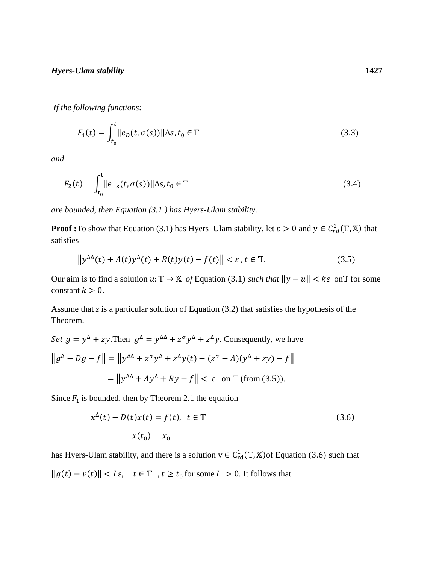*If the following functions:*

$$
F_1(t) = \int_{t_0}^t \|e_D(t, \sigma(s))\| \Delta s, t_0 \in \mathbb{T}
$$
\n(3.3)

*and*

$$
F_2(t) = \int_{t_0}^t \|e_{-z}(t, \sigma(s))\| \Delta s, t_0 \in \mathbb{T}
$$
\n(3.4)

*are bounded, then Equation (3.1 ) has Hyers-Ulam stability.*

**Proof :**To show that Equation (3.1) has Hyers–Ulam stability, let  $\varepsilon > 0$  and  $y \in C_{rd}^2(\mathbb{T}, \mathbb{X})$  that satisfies

$$
\left\| y^{\Delta\Delta}(t) + A(t)y^{\Delta}(t) + R(t)y(t) - f(t) \right\| < \varepsilon, t \in \mathbb{T}.
$$
 (3.5)

Our aim is to find a solution  $u: \mathbb{T} \to \mathbb{X}$  of Equation (3.1) *such that*  $||y - u|| < k\varepsilon$  on  $\mathbb{T}$  for some constant  $k > 0$ .

Assume that *z* is a particular solution of Equation (3.2) that satisfies the hypothesis of the Theorem.

Set 
$$
g = y^{\Delta} + zy
$$
. Then  $g^{\Delta} = y^{\Delta \Delta} + z^{\sigma}y^{\Delta} + z^{\Delta}y$ . Consequently, we have  
\n
$$
||g^{\Delta} - Dg - f|| = ||y^{\Delta \Delta} + z^{\sigma}y^{\Delta} + z^{\Delta}y(t) - (z^{\sigma} - A)(y^{\Delta} + zy) - f||
$$
\n
$$
= ||y^{\Delta \Delta} + Ay^{\Delta} + Ry - f|| < \varepsilon \text{ on } \mathbb{T} \text{ (from (3.5))}.
$$

Since  $F_1$  is bounded, then by Theorem 2.1 the equation

$$
x^{\Delta}(t) - D(t)x(t) = f(t), \ t \in \mathbb{T}
$$
\n
$$
x(t_0) = x_0
$$
\n(3.6)

has Hyers-Ulam stability, and there is a solution  $v \in C_{rd}^1(\mathbb{T}, \mathbb{X})$  of Equation (3.6) such that  $||g(t) - v(t)||$  < *Lε*, *t* ∈ T *, t* ≥ *t*<sub>0</sub> for some *L* > 0. It follows that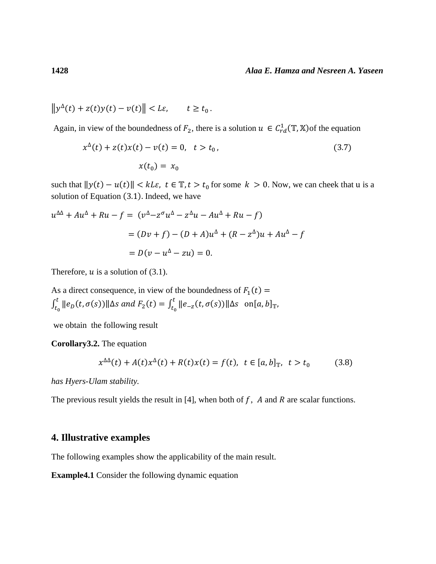$$
\left\|y^{\Delta}(t) + z(t)y(t) - v(t)\right\| < L\varepsilon, \qquad t \ge t_0.
$$

Again, in view of the boundedness of  $F_2$ , there is a solution  $u \in C_{rd}^1(\mathbb{T}, \mathbb{X})$  of the equation

$$
x^{\Delta}(t) + z(t)x(t) - v(t) = 0, \quad t > t_0,
$$
\n
$$
x(t_0) = x_0
$$
\n(3.7)

such that  $||y(t) - u(t)|| < kL\varepsilon$ ,  $t \in \mathbb{T}$ ,  $t > t_0$  for some  $k > 0$ . Now, we can cheek that u is a solution of Equation (3.1). Indeed, we have

$$
u^{\Delta \Delta} + Au^{\Delta} + Ru - f = (v^{\Delta} - z^{\sigma}u^{\Delta} - z^{\Delta}u - Au^{\Delta} + Ru - f)
$$
  
=  $(Dv + f) - (D + A)u^{\Delta} + (R - z^{\Delta})u + Au^{\Delta} - f$   
=  $D(v - u^{\Delta} - zu) = 0$ .

Therefore,  $u$  is a solution of (3.1).

As a direct consequence, in view of the boundedness of  $F_1(t)$  =  $\int_{t_0}^t ||e_D(t, \sigma(s))||\Delta s$  and  $F_2(t) = \int_{t_0}^t ||e_{-z}(t, \sigma(s))||\Delta s$  on[a, b]<sub>T</sub>  $t_0$  $t$  $\int_{t_0}^{t} ||e_D(t, \sigma(s))||\Delta s$  and  $F_2(t) = \int_{t_0}^{t} ||e_{-z}(t, \sigma(s))||\Delta s$  on  $[a, b]_{\mathbb{T}}$ ,

we obtain the following result

**Corollary3.2.** The equation

$$
x^{\Delta\Delta}(t) + A(t)x^{\Delta}(t) + R(t)x(t) = f(t), \ t \in [a, b]_{\mathbb{T}}, \ t > t_0 \tag{3.8}
$$

*has Hyers-Ulam stability.*

The previous result yields the result in [4], when both of  $f$ ,  $A$  and  $R$  are scalar functions.

## **4. Illustrative examples**

The following examples show the applicability of the main result.

**Example4.1** Consider the following dynamic equation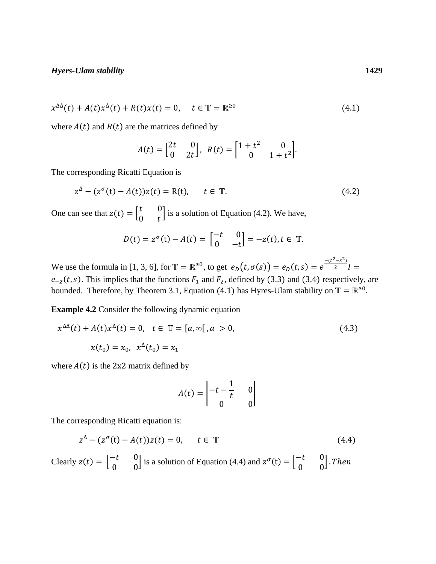$$
x^{\Delta\Delta}(t) + A(t)x^{\Delta}(t) + R(t)x(t) = 0, \quad t \in \mathbb{T} = \mathbb{R}^{\geq 0}
$$
\n
$$
(4.1)
$$

where  $A(t)$  and  $R(t)$  are the matrices defined by

$$
A(t) = \begin{bmatrix} 2t & 0 \\ 0 & 2t \end{bmatrix}, \ R(t) = \begin{bmatrix} 1+t^2 & 0 \\ 0 & 1+t^2 \end{bmatrix}.
$$

The corresponding Ricatti Equation is

$$
z^{\Delta} - (z^{\sigma}(t) - A(t))z(t) = R(t), \qquad t \in \mathbb{T}.
$$
 (4.2)

One can see that  $z(t) = \begin{bmatrix} t & 0 \\ 0 & t \end{bmatrix}$  $\begin{bmatrix} 0 & 0 \\ 0 & t \end{bmatrix}$  is a solution of Equation (4.2). We have,

$$
D(t) = z^{\sigma}(t) - A(t) = \begin{bmatrix} -t & 0 \\ 0 & -t \end{bmatrix} = -z(t), t \in \mathbb{T}.
$$

We use the formula in [1, 3, 6], for  $\mathbb{T} = \mathbb{R}^{\geq 0}$ , to get  $e_D(t, \sigma(s)) = e_D(t, s) = e^{\frac{-(t^2 - s^2)}{2}}$  $\frac{1}{2}$  =  $e_{-z}(t, s)$ . This implies that the functions  $F_1$  and  $F_2$ , defined by (3.3) and (3.4) respectively, are bounded. Therefore, by Theorem 3.1, Equation (4.1) has Hyres-Ulam stability on  $\mathbb{T} = \mathbb{R}^{\geq 0}$ .

**Example 4.2** Consider the following dynamic equation

$$
x^{\Delta\Delta}(t) + A(t)x^{\Delta}(t) = 0, \quad t \in \mathbb{T} = [a, \infty[, a > 0,
$$
  

$$
x(t_0) = x_0, \quad x^{\Delta}(t_0) = x_1
$$
 (4.3)

where  $A(t)$  is the 2x2 matrix defined by

$$
A(t) = \begin{bmatrix} -t - \frac{1}{t} & 0\\ 0 & 0 \end{bmatrix}
$$

The corresponding Ricatti equation is:

$$
z^{\Delta} - (z^{\sigma}(t) - A(t))z(t) = 0, \qquad t \in \mathbb{T}
$$
\n
$$
(4.4)
$$

Clearly  $z(t) = \begin{bmatrix} -t & 0 \\ 0 & 0 \end{bmatrix}$  $\begin{bmatrix} -t & 0 \\ 0 & 0 \end{bmatrix}$  is a solution of Equation (4.4) and  $z^{\sigma}(t) = \begin{bmatrix} -t & 0 \\ 0 & 0 \end{bmatrix}$  $\begin{bmatrix} -\iota & 0 \\ 0 & 0 \end{bmatrix}$ . Then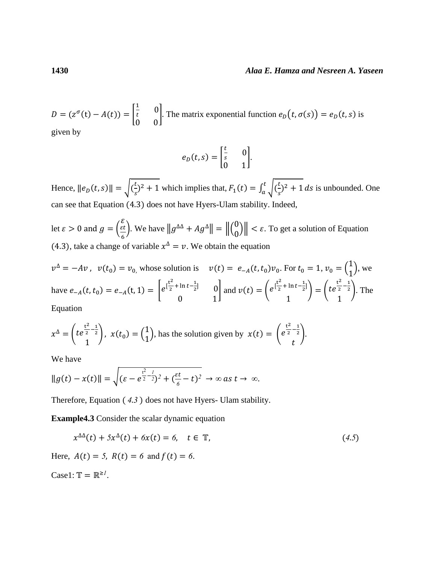#### **1430** *Alaa E. Hamza and Nesreen A. Yaseen*

$$
D = (z^{\sigma}(t) - A(t)) = \begin{bmatrix} \frac{1}{t} & 0\\ 0 & 0 \end{bmatrix}
$$
. The matrix exponential function  $e_D(t, \sigma(s)) = e_D(t, s)$  is given by

given by

$$
e_D(t,s) = \begin{bmatrix} \frac{t}{s} & 0\\ 0 & 1 \end{bmatrix}.
$$

Hence,  $||e_D(t, s)|| = \sqrt{\left(\frac{t}{s}\right)^2}$  $(\frac{t}{s})^2 + 1$  which implies that,  $F_1(t) = \int_a^t \sqrt{\frac{t}{s}}$  $\int_{a}^{t} \sqrt{\frac{t}{s}}$ <sup>2</sup> + 1  $\int_a^b \sqrt{\left(\frac{c}{s}\right)^2 + 1} ds$  is unbounded. One can see that Equation (4.3) does not have Hyers-Ulam stability. Indeed,

let  $\varepsilon > 0$  and  $g = ($  $\mathcal{E}$  $\varepsilon t$ 6 ). We have  $||g^{\Delta \Delta} + Ag^{\Delta}|| = ||\begin{pmatrix} 0 \\ 0 \end{pmatrix}||$  $\begin{bmatrix} 0 \\ 0 \end{bmatrix}$  <  $\varepsilon$ . To get a solution of Equation (4.3), take a change of variable  $x^{\Delta} = v$ . We obtain the equation

$$
v^{\Delta} = -Av
$$
,  $v(t_0) = v_{0}$ , whose solution is  $v(t) = e_{-A}(t, t_0)v_0$ . For  $t_0 = 1$ ,  $v_0 = \begin{pmatrix} 1 \\ 1 \end{pmatrix}$ , we have  $e_{-A}(t, t_0) = e_{-A}(t, 1) = \begin{bmatrix} e^{\frac{t^2}{2} + \ln t - \frac{1}{2}} & 0 \\ 0 & 1 \end{bmatrix}$  and  $v(t) = \begin{pmatrix} e^{\frac{t^2}{2} + \ln t - \frac{1}{2}} \\ 1 \end{pmatrix} = \begin{pmatrix} te^{\frac{t^2}{2} - \frac{1}{2}} \\ 1 \end{pmatrix}$ . The Equation

Equation

$$
x^{\Delta} = \left(t e^{\frac{t^2}{2} - \frac{1}{2}}\right), \ x(t_0) = \begin{pmatrix} 1 \\ 1 \end{pmatrix}, \text{ has the solution given by } x(t) = \begin{pmatrix} e^{\frac{t^2}{2} - \frac{1}{2}} \\ t \end{pmatrix}.
$$

We have

$$
\|g(t)-x(t)\|=\sqrt{(\varepsilon-e^{\frac{t^2}{2}-\frac{1}{2}})^2+(\frac{\varepsilon t}{6}-t)^2}\to\infty\text{ as }t\to\infty.
$$

Therefore, Equation ( *4*.*3* ) does not have Hyers- Ulam stability.

**Example4.3** Consider the scalar dynamic equation

$$
x^{\Delta\Delta}(t) + 5x^{\Delta}(t) + 6x(t) = 6, \quad t \in \mathbb{T}, \tag{4.5}
$$

Here,  $A(t) = 5$ ,  $R(t) = 6$  and  $f(t) = 6$ .

Case1:  $\mathbb{T} = \mathbb{R}^{\geq l}$ .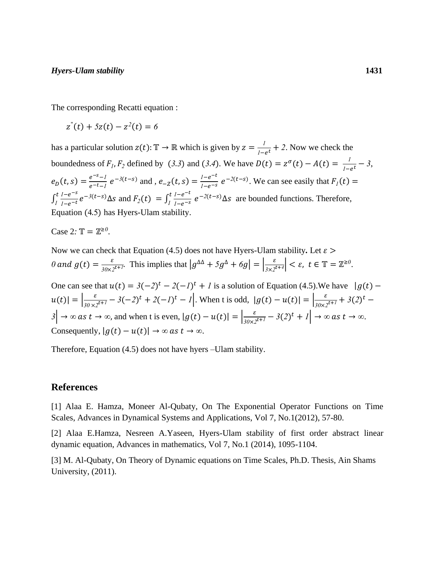The corresponding Recatti equation :

 $z''(t) + 5z(t) - z^2(t) = 6$ 

has a particular solution  $z(t)$ :  $\mathbb{T} \to \mathbb{R}$  which is given by  $z = \frac{1}{t}$  $\frac{1}{1 - e^t} + 2$ . Now we check the boundedness of  $F_1$ ,  $F_2$  defined by (3.3) and (3.4). We have  $D(t) = z^{\sigma}(t) - A(t) = \frac{1}{t-1}$  $\frac{1}{1-e^t}$  – 3,  $e_D(t,s) = \frac{e^{-s}-l}{e^{-t}-l}$  $\frac{e^{-s}-1}{e^{-t}-1}$   $e^{-3(t-s)}$  and *,*  $e_{-Z}(t,s) = \frac{1-e^{-s}}{1-e^{-s}}$  $\frac{1-e^{-t}}{1-e^{-s}}e^{-2(t-s)}$ . We can see easily that  $F_1(t) =$  $\int_{1}^{t} \frac{1-e^{-s}}{1-e^{-t}}$  $\int_0^t \frac{1-e^{-s}}{1-e^{-t}}e^{-3(t-s)}\Delta s$  $\int_{I}^{t} \frac{1-e^{-s}}{1-e^{-t}} e^{-3(t-s)} \Delta s$  and  $F_2(t) = \int_{I}^{t} \frac{1-e^{-t}}{1-e^{-s}}$  $\int_0^t \frac{1-e^{-t}}{1-e^{-s}} e^{-2(t-s)} \Delta s$  $\int_{1}^{t} \frac{1-e^{-t}}{1-e^{-s}} e^{-2(t-s)} \Delta s$  are bounded functions. Therefore, Equation (4.5) has Hyers-Ulam stability.

Case 2:  $\mathbb{T} = \mathbb{Z}^{\geq 0}$ .

Now we can check that Equation (4.5) does not have Hyers-Ulam stability. Let  $\varepsilon$ 0 and  $g(t) = \frac{\varepsilon}{\sqrt{2\pi}}$  $\frac{\varepsilon}{30 \times 2^{t+1}}$ . This implies that  $|g^{\Delta \Delta} + 5g^{\Delta} + 6g| = \left| \frac{\varepsilon}{3 \times 2} \right|$  $\left| \frac{\varepsilon}{3\times 2^{t+4}} \right| < \varepsilon$ ,  $t \in \mathbb{T} = \mathbb{Z}^{\geq 0}$ . One can see that  $u(t) = 3(-2)^t - 2(-1)^t + 1$  is a solution of Equation (4.5). We have  $|g(t) |u(t)| = \left|\frac{\varepsilon}{2.0 \text{ m/s}}\right|$  $\frac{\varepsilon}{30 \times 2^{t+1}}$  – 3(-2)<sup>t</sup> + 2(-*1*)<sup>t</sup> – *1*. When t is odd,  $|g(t) - u(t)| = \left| \frac{\varepsilon}{30 \times 2^{t+1}} \right|$  $\frac{\varepsilon}{30\times 2^{t+1}} + 3(2)^t$  – *3* → *∞* as  $t \to \infty$ , and when t is even,  $|g(t) - u(t)| = \frac{\varepsilon}{2}$  $\frac{\varepsilon}{30\times2^{t+1}}$  – 3(2)<sup>t</sup> + 1| →  $\infty$  as  $t \to \infty$ . Consequently,  $|g(t) - u(t)| \to \infty$  *as*  $t \to \infty$ .

Therefore, Equation (4.5) does not have hyers –Ulam stability.

## **References**

[1] Alaa E. Hamza, Moneer Al-Qubaty, On The Exponential Operator Functions on Time Scales, Advances in Dynamical Systems and Applications, Vol 7, No.1(2012), 57-80.

[2] Alaa E.Hamza, Nesreen A.Yaseen, Hyers-Ulam stability of first order abstract linear dynamic equation, Advances in mathematics, Vol 7, No.1 (2014), 1095-1104.

[3] M. Al-Qubaty, On Theory of Dynamic equations on Time Scales, Ph.D. Thesis, Ain Shams University, (2011).